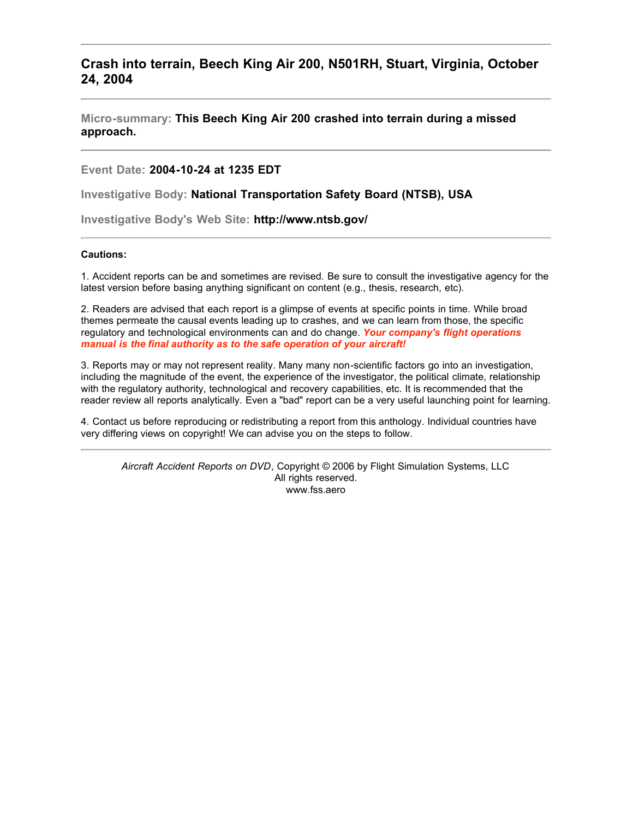# **Crash into terrain, Beech King Air 200, N501RH, Stuart, Virginia, October 24, 2004**

**Micro-summary: This Beech King Air 200 crashed into terrain during a missed approach.**

**Event Date: 2004-10-24 at 1235 EDT**

**Investigative Body: National Transportation Safety Board (NTSB), USA**

**Investigative Body's Web Site: http://www.ntsb.gov/**

#### **Cautions:**

1. Accident reports can be and sometimes are revised. Be sure to consult the investigative agency for the latest version before basing anything significant on content (e.g., thesis, research, etc).

2. Readers are advised that each report is a glimpse of events at specific points in time. While broad themes permeate the causal events leading up to crashes, and we can learn from those, the specific regulatory and technological environments can and do change. *Your company's flight operations manual is the final authority as to the safe operation of your aircraft!*

3. Reports may or may not represent reality. Many many non-scientific factors go into an investigation, including the magnitude of the event, the experience of the investigator, the political climate, relationship with the regulatory authority, technological and recovery capabilities, etc. It is recommended that the reader review all reports analytically. Even a "bad" report can be a very useful launching point for learning.

4. Contact us before reproducing or redistributing a report from this anthology. Individual countries have very differing views on copyright! We can advise you on the steps to follow.

*Aircraft Accident Reports on DVD*, Copyright © 2006 by Flight Simulation Systems, LLC All rights reserved. www.fss.aero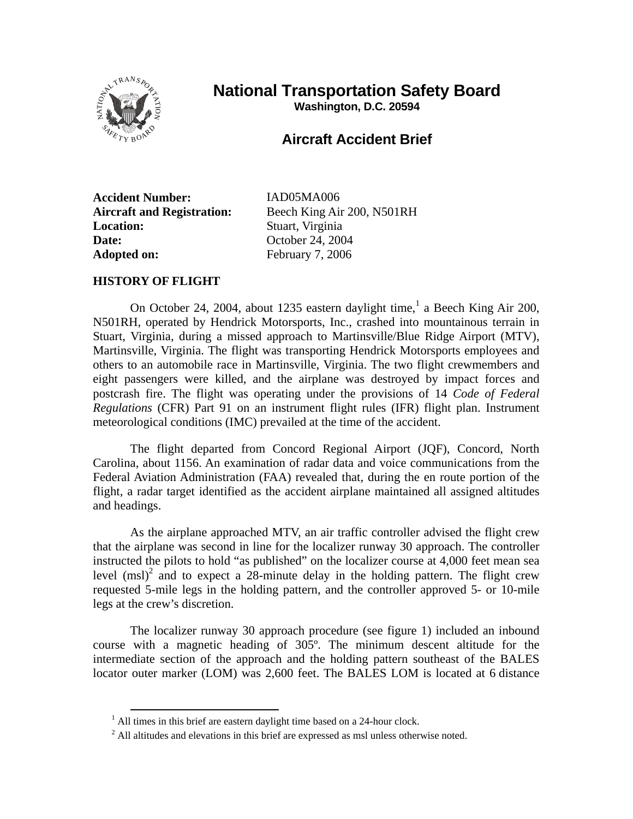

# **National Transportation Safety Board**

**Washington, D.C. 20594** 

# **Aircraft Accident Brief**

**Accident Number:** IAD05MA006 **Location:** Stuart, Virginia **Date: October 24, 2004** Adopted on: February 7, 2006

**Aircraft and Registration:** Beech King Air 200, N501RH

# **HISTORY OF FLIGHT**

On October 24, 2004, about 1235 eastern daylight time,<sup>1</sup> a Beech King Air 200, N501RH, operated by Hendrick Motorsports, Inc., crashed into mountainous terrain in Stuart, Virginia, during a missed approach to Martinsville/Blue Ridge Airport (MTV), Martinsville, Virginia. The flight was transporting Hendrick Motorsports employees and others to an automobile race in Martinsville, Virginia. The two flight crewmembers and eight passengers were killed, and the airplane was destroyed by impact forces and postcrash fire. The flight was operating under the provisions of 14 *Code of Federal Regulations* (CFR) Part 91 on an instrument flight rules (IFR) flight plan. Instrument meteorological conditions (IMC) prevailed at the time of the accident.

The flight departed from Concord Regional Airport (JQF), Concord, North Carolina, about 1156. An examination of radar data and voice communications from the Federal Aviation Administration (FAA) revealed that, during the en route portion of the flight, a radar target identified as the accident airplane maintained all assigned altitudes and headings.

As the airplane approached MTV, an air traffic controller advised the flight crew that the airplane was second in line for the localizer runway 30 approach. The controller instructed the pilots to hold "as published" on the localizer course at 4,000 feet mean sea level  $(msl)^2$  and to expect a 28-minute delay in the holding pattern. The flight crew requested 5-mile legs in the holding pattern, and the controller approved 5- or 10-mile legs at the crew's discretion.

The localizer runway 30 approach procedure (see figure 1) included an inbound course with a magnetic heading of 305º. The minimum descent altitude for the intermediate section of the approach and the holding pattern southeast of the BALES locator outer marker (LOM) was 2,600 feet. The BALES LOM is located at 6 distance

<sup>&</sup>lt;sup>1</sup> All times in this brief are eastern daylight time based on a 24-hour clock.

 $2$  All altitudes and elevations in this brief are expressed as msl unless otherwise noted.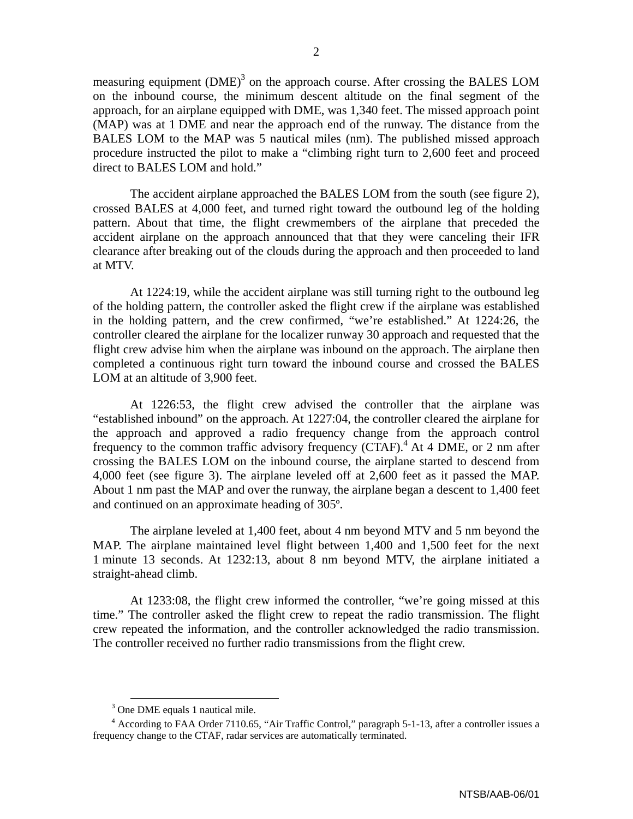measuring equipment  $(DME)^3$  on the approach course. After crossing the BALES LOM on the inbound course, the minimum descent altitude on the final segment of the approach, for an airplane equipped with DME, was 1,340 feet. The missed approach point (MAP) was at 1 DME and near the approach end of the runway. The distance from the BALES LOM to the MAP was 5 nautical miles (nm). The published missed approach procedure instructed the pilot to make a "climbing right turn to 2,600 feet and proceed direct to BALES LOM and hold."

The accident airplane approached the BALES LOM from the south (see figure 2), crossed BALES at 4,000 feet, and turned right toward the outbound leg of the holding pattern. About that time, the flight crewmembers of the airplane that preceded the accident airplane on the approach announced that that they were canceling their IFR clearance after breaking out of the clouds during the approach and then proceeded to land at MTV.

At 1224:19, while the accident airplane was still turning right to the outbound leg of the holding pattern, the controller asked the flight crew if the airplane was established in the holding pattern, and the crew confirmed, "we're established." At 1224:26, the controller cleared the airplane for the localizer runway 30 approach and requested that the flight crew advise him when the airplane was inbound on the approach. The airplane then completed a continuous right turn toward the inbound course and crossed the BALES LOM at an altitude of 3,900 feet.

At 1226:53, the flight crew advised the controller that the airplane was "established inbound" on the approach. At 1227:04, the controller cleared the airplane for the approach and approved a radio frequency change from the approach control frequency to the common traffic advisory frequency  $(CTAF)$ .<sup>4</sup> At 4 DME, or 2 nm after crossing the BALES LOM on the inbound course, the airplane started to descend from 4,000 feet (see figure 3). The airplane leveled off at 2,600 feet as it passed the MAP. About 1 nm past the MAP and over the runway, the airplane began a descent to 1,400 feet and continued on an approximate heading of 305º.

The airplane leveled at 1,400 feet, about 4 nm beyond MTV and 5 nm beyond the MAP. The airplane maintained level flight between 1,400 and 1,500 feet for the next 1 minute 13 seconds. At 1232:13, about 8 nm beyond MTV, the airplane initiated a straight-ahead climb.

At 1233:08, the flight crew informed the controller, "we're going missed at this time." The controller asked the flight crew to repeat the radio transmission. The flight crew repeated the information, and the controller acknowledged the radio transmission. The controller received no further radio transmissions from the flight crew.

 <sup>3</sup> One DME equals 1 nautical mile.

<sup>&</sup>lt;sup>4</sup> According to FAA Order 7110.65, "Air Traffic Control," paragraph 5-1-13, after a controller issues a frequency change to the CTAF, radar services are automatically terminated.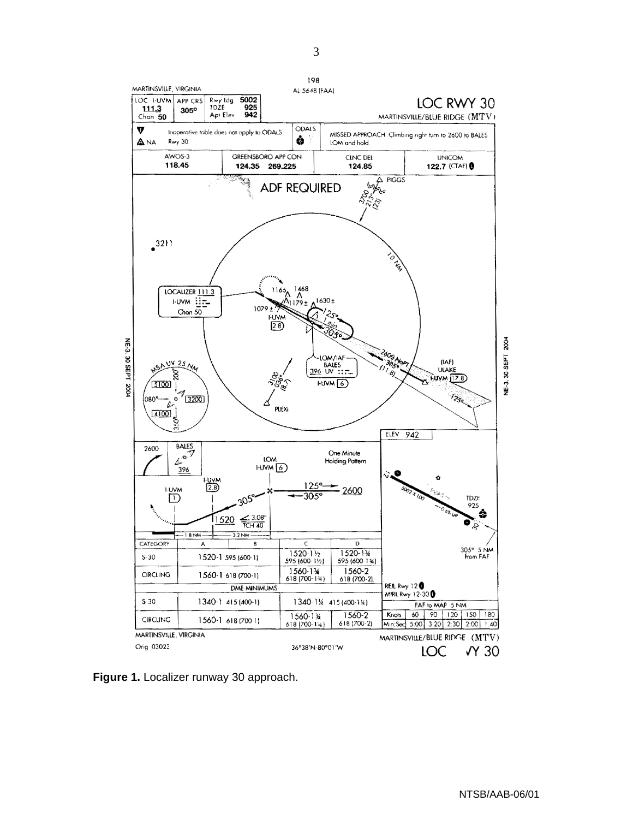

**Figure 1.** Localizer runway 30 approach.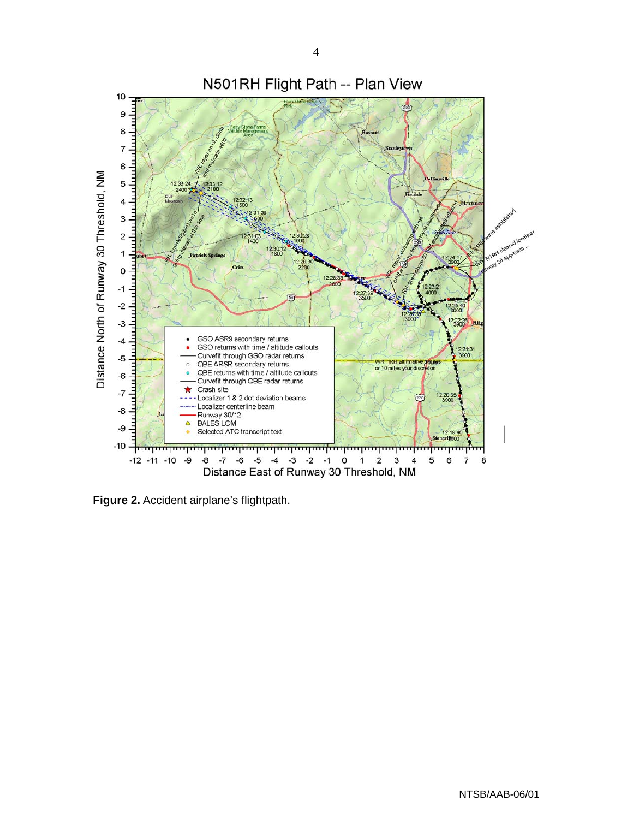

Figure 2. Accident airplane's flightpath.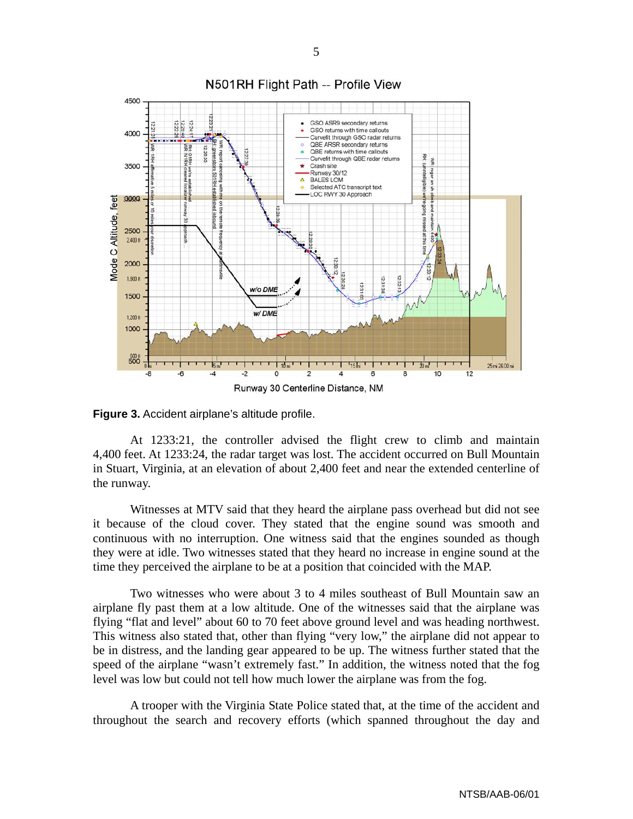

**Figure 3.** Accident airplane's altitude profile.

At 1233:21, the controller advised the flight crew to climb and maintain 4,400 feet. At 1233:24, the radar target was lost. The accident occurred on Bull Mountain in Stuart, Virginia, at an elevation of about 2,400 feet and near the extended centerline of the runway.

Witnesses at MTV said that they heard the airplane pass overhead but did not see it because of the cloud cover. They stated that the engine sound was smooth and continuous with no interruption. One witness said that the engines sounded as though they were at idle. Two witnesses stated that they heard no increase in engine sound at the time they perceived the airplane to be at a position that coincided with the MAP.

Two witnesses who were about 3 to 4 miles southeast of Bull Mountain saw an airplane fly past them at a low altitude. One of the witnesses said that the airplane was flying "flat and level" about 60 to 70 feet above ground level and was heading northwest. This witness also stated that, other than flying "very low," the airplane did not appear to be in distress, and the landing gear appeared to be up. The witness further stated that the speed of the airplane "wasn't extremely fast." In addition, the witness noted that the fog level was low but could not tell how much lower the airplane was from the fog.

A trooper with the Virginia State Police stated that, at the time of the accident and throughout the search and recovery efforts (which spanned throughout the day and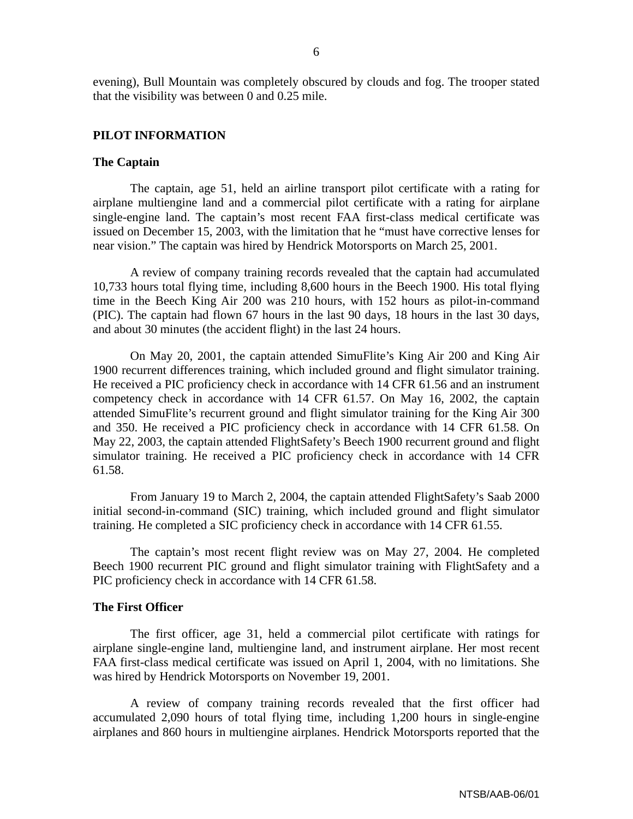evening), Bull Mountain was completely obscured by clouds and fog. The trooper stated that the visibility was between 0 and 0.25 mile.

# **PILOT INFORMATION**

# **The Captain**

The captain, age 51, held an airline transport pilot certificate with a rating for airplane multiengine land and a commercial pilot certificate with a rating for airplane single-engine land. The captain's most recent FAA first-class medical certificate was issued on December 15, 2003, with the limitation that he "must have corrective lenses for near vision." The captain was hired by Hendrick Motorsports on March 25, 2001.

A review of company training records revealed that the captain had accumulated 10,733 hours total flying time, including 8,600 hours in the Beech 1900. His total flying time in the Beech King Air 200 was 210 hours, with 152 hours as pilot-in-command (PIC). The captain had flown 67 hours in the last 90 days, 18 hours in the last 30 days, and about 30 minutes (the accident flight) in the last 24 hours.

On May 20, 2001, the captain attended SimuFlite's King Air 200 and King Air 1900 recurrent differences training, which included ground and flight simulator training. He received a PIC proficiency check in accordance with 14 CFR 61.56 and an instrument competency check in accordance with 14 CFR 61.57. On May 16, 2002, the captain attended SimuFlite's recurrent ground and flight simulator training for the King Air 300 and 350. He received a PIC proficiency check in accordance with 14 CFR 61.58. On May 22, 2003, the captain attended FlightSafety's Beech 1900 recurrent ground and flight simulator training. He received a PIC proficiency check in accordance with 14 CFR 61.58.

From January 19 to March 2, 2004, the captain attended FlightSafety's Saab 2000 initial second-in-command (SIC) training, which included ground and flight simulator training. He completed a SIC proficiency check in accordance with 14 CFR 61.55.

The captain's most recent flight review was on May 27, 2004. He completed Beech 1900 recurrent PIC ground and flight simulator training with FlightSafety and a PIC proficiency check in accordance with 14 CFR 61.58.

#### **The First Officer**

The first officer, age 31, held a commercial pilot certificate with ratings for airplane single-engine land, multiengine land, and instrument airplane. Her most recent FAA first-class medical certificate was issued on April 1, 2004, with no limitations. She was hired by Hendrick Motorsports on November 19, 2001.

A review of company training records revealed that the first officer had accumulated 2,090 hours of total flying time, including 1,200 hours in single-engine airplanes and 860 hours in multiengine airplanes. Hendrick Motorsports reported that the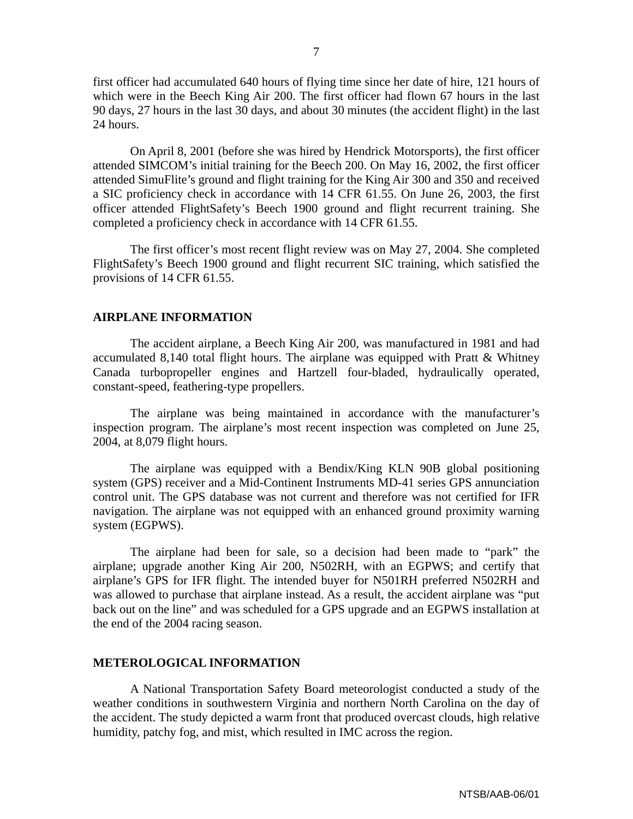first officer had accumulated 640 hours of flying time since her date of hire, 121 hours of which were in the Beech King Air 200. The first officer had flown 67 hours in the last 90 days, 27 hours in the last 30 days, and about 30 minutes (the accident flight) in the last 24 hours.

On April 8, 2001 (before she was hired by Hendrick Motorsports), the first officer attended SIMCOM's initial training for the Beech 200. On May 16, 2002, the first officer attended SimuFlite's ground and flight training for the King Air 300 and 350 and received a SIC proficiency check in accordance with 14 CFR 61.55. On June 26, 2003, the first officer attended FlightSafety's Beech 1900 ground and flight recurrent training. She completed a proficiency check in accordance with 14 CFR 61.55.

The first officer's most recent flight review was on May 27, 2004. She completed FlightSafety's Beech 1900 ground and flight recurrent SIC training, which satisfied the provisions of 14 CFR 61.55.

## **AIRPLANE INFORMATION**

The accident airplane, a Beech King Air 200, was manufactured in 1981 and had accumulated 8,140 total flight hours. The airplane was equipped with Pratt & Whitney Canada turbopropeller engines and Hartzell four-bladed, hydraulically operated, constant-speed, feathering-type propellers.

The airplane was being maintained in accordance with the manufacturer's inspection program. The airplane's most recent inspection was completed on June 25, 2004, at 8,079 flight hours.

The airplane was equipped with a Bendix/King KLN 90B global positioning system (GPS) receiver and a Mid-Continent Instruments MD-41 series GPS annunciation control unit. The GPS database was not current and therefore was not certified for IFR navigation. The airplane was not equipped with an enhanced ground proximity warning system (EGPWS).

The airplane had been for sale, so a decision had been made to "park" the airplane; upgrade another King Air 200, N502RH, with an EGPWS; and certify that airplane's GPS for IFR flight. The intended buyer for N501RH preferred N502RH and was allowed to purchase that airplane instead. As a result, the accident airplane was "put back out on the line" and was scheduled for a GPS upgrade and an EGPWS installation at the end of the 2004 racing season.

# **METEROLOGICAL INFORMATION**

A National Transportation Safety Board meteorologist conducted a study of the weather conditions in southwestern Virginia and northern North Carolina on the day of the accident. The study depicted a warm front that produced overcast clouds, high relative humidity, patchy fog, and mist, which resulted in IMC across the region.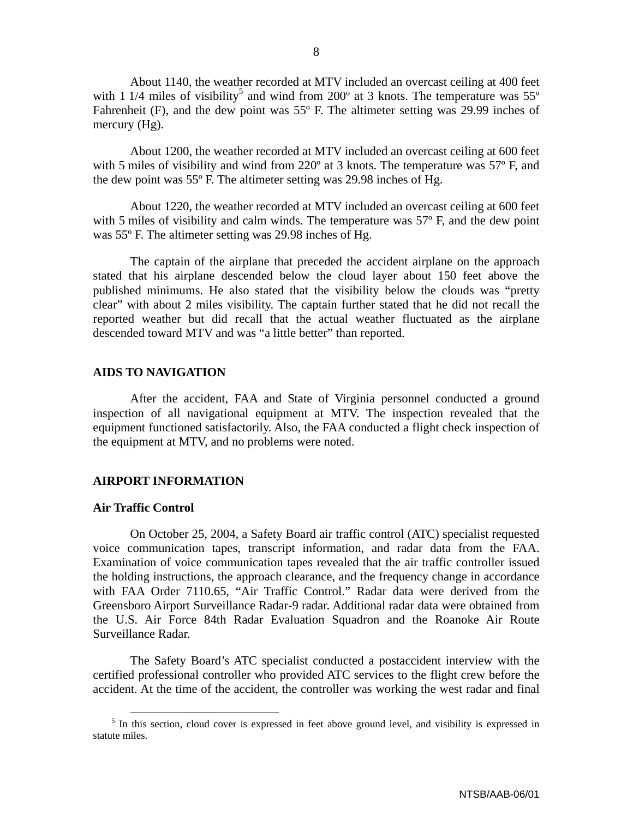About 1140, the weather recorded at MTV included an overcast ceiling at 400 feet with 1 1/4 miles of visibility<sup>5</sup> and wind from 200 $^{\circ}$  at 3 knots. The temperature was 55 $^{\circ}$ Fahrenheit (F), and the dew point was 55º F. The altimeter setting was 29.99 inches of mercury (Hg).

About 1200, the weather recorded at MTV included an overcast ceiling at 600 feet with 5 miles of visibility and wind from 220<sup>o</sup> at 3 knots. The temperature was 57<sup>o</sup> F, and the dew point was 55º F. The altimeter setting was 29.98 inches of Hg.

About 1220, the weather recorded at MTV included an overcast ceiling at 600 feet with 5 miles of visibility and calm winds. The temperature was 57° F, and the dew point was 55º F. The altimeter setting was 29.98 inches of Hg.

The captain of the airplane that preceded the accident airplane on the approach stated that his airplane descended below the cloud layer about 150 feet above the published minimums. He also stated that the visibility below the clouds was "pretty clear" with about 2 miles visibility. The captain further stated that he did not recall the reported weather but did recall that the actual weather fluctuated as the airplane descended toward MTV and was "a little better" than reported.

# **AIDS TO NAVIGATION**

After the accident, FAA and State of Virginia personnel conducted a ground inspection of all navigational equipment at MTV. The inspection revealed that the equipment functioned satisfactorily. Also, the FAA conducted a flight check inspection of the equipment at MTV, and no problems were noted.

# **AIRPORT INFORMATION**

# **Air Traffic Control**

On October 25, 2004, a Safety Board air traffic control (ATC) specialist requested voice communication tapes, transcript information, and radar data from the FAA. Examination of voice communication tapes revealed that the air traffic controller issued the holding instructions, the approach clearance, and the frequency change in accordance with FAA Order 7110.65, "Air Traffic Control." Radar data were derived from the Greensboro Airport Surveillance Radar-9 radar. Additional radar data were obtained from the U.S. Air Force 84th Radar Evaluation Squadron and the Roanoke Air Route Surveillance Radar.

The Safety Board's ATC specialist conducted a postaccident interview with the certified professional controller who provided ATC services to the flight crew before the accident. At the time of the accident, the controller was working the west radar and final

<sup>&</sup>lt;sup>5</sup> In this section, cloud cover is expressed in feet above ground level, and visibility is expressed in statute miles.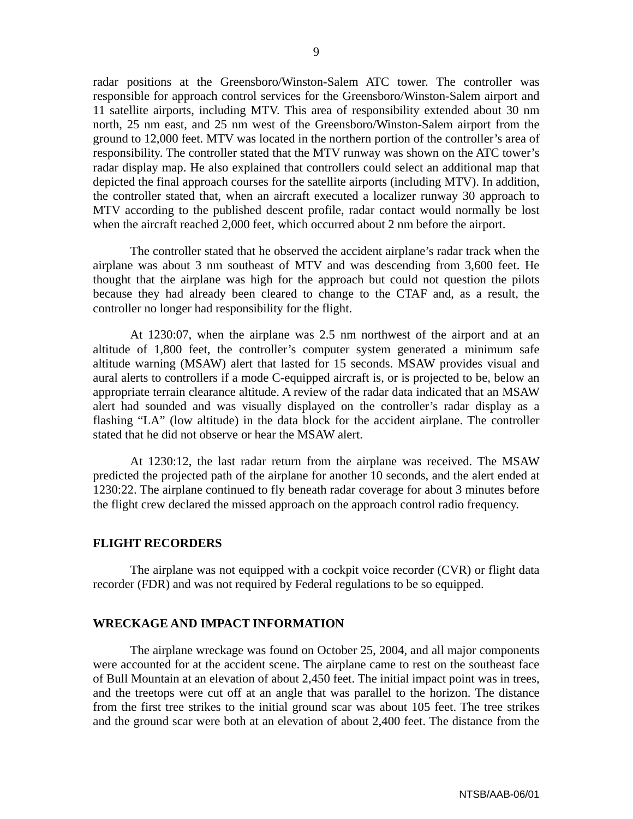radar positions at the Greensboro/Winston-Salem ATC tower. The controller was responsible for approach control services for the Greensboro/Winston-Salem airport and 11 satellite airports, including MTV. This area of responsibility extended about 30 nm north, 25 nm east, and 25 nm west of the Greensboro/Winston-Salem airport from the ground to 12,000 feet. MTV was located in the northern portion of the controller's area of responsibility. The controller stated that the MTV runway was shown on the ATC tower's radar display map. He also explained that controllers could select an additional map that depicted the final approach courses for the satellite airports (including MTV). In addition, the controller stated that, when an aircraft executed a localizer runway 30 approach to MTV according to the published descent profile, radar contact would normally be lost when the aircraft reached 2,000 feet, which occurred about 2 nm before the airport.

The controller stated that he observed the accident airplane's radar track when the airplane was about 3 nm southeast of MTV and was descending from 3,600 feet. He thought that the airplane was high for the approach but could not question the pilots because they had already been cleared to change to the CTAF and, as a result, the controller no longer had responsibility for the flight.

At 1230:07, when the airplane was 2.5 nm northwest of the airport and at an altitude of 1,800 feet, the controller's computer system generated a minimum safe altitude warning (MSAW) alert that lasted for 15 seconds. MSAW provides visual and aural alerts to controllers if a mode C-equipped aircraft is, or is projected to be, below an appropriate terrain clearance altitude. A review of the radar data indicated that an MSAW alert had sounded and was visually displayed on the controller's radar display as a flashing "LA" (low altitude) in the data block for the accident airplane. The controller stated that he did not observe or hear the MSAW alert.

At 1230:12, the last radar return from the airplane was received. The MSAW predicted the projected path of the airplane for another 10 seconds, and the alert ended at 1230:22. The airplane continued to fly beneath radar coverage for about 3 minutes before the flight crew declared the missed approach on the approach control radio frequency.

## **FLIGHT RECORDERS**

The airplane was not equipped with a cockpit voice recorder (CVR) or flight data recorder (FDR) and was not required by Federal regulations to be so equipped.

#### **WRECKAGE AND IMPACT INFORMATION**

The airplane wreckage was found on October 25, 2004, and all major components were accounted for at the accident scene. The airplane came to rest on the southeast face of Bull Mountain at an elevation of about 2,450 feet. The initial impact point was in trees, and the treetops were cut off at an angle that was parallel to the horizon. The distance from the first tree strikes to the initial ground scar was about 105 feet. The tree strikes and the ground scar were both at an elevation of about 2,400 feet. The distance from the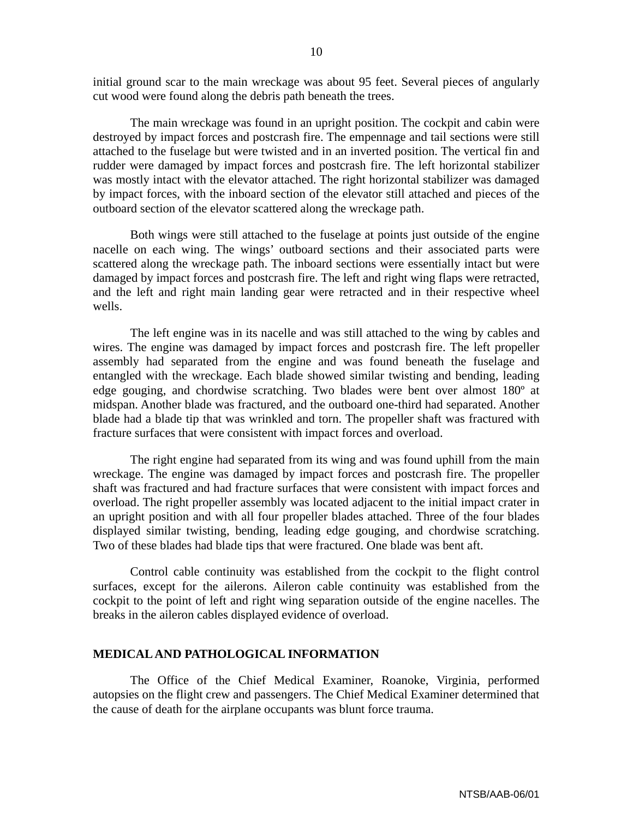initial ground scar to the main wreckage was about 95 feet. Several pieces of angularly cut wood were found along the debris path beneath the trees.

The main wreckage was found in an upright position. The cockpit and cabin were destroyed by impact forces and postcrash fire. The empennage and tail sections were still attached to the fuselage but were twisted and in an inverted position. The vertical fin and rudder were damaged by impact forces and postcrash fire. The left horizontal stabilizer was mostly intact with the elevator attached. The right horizontal stabilizer was damaged by impact forces, with the inboard section of the elevator still attached and pieces of the outboard section of the elevator scattered along the wreckage path.

Both wings were still attached to the fuselage at points just outside of the engine nacelle on each wing. The wings' outboard sections and their associated parts were scattered along the wreckage path. The inboard sections were essentially intact but were damaged by impact forces and postcrash fire. The left and right wing flaps were retracted, and the left and right main landing gear were retracted and in their respective wheel wells.

The left engine was in its nacelle and was still attached to the wing by cables and wires. The engine was damaged by impact forces and postcrash fire. The left propeller assembly had separated from the engine and was found beneath the fuselage and entangled with the wreckage. Each blade showed similar twisting and bending, leading edge gouging, and chordwise scratching. Two blades were bent over almost 180º at midspan. Another blade was fractured, and the outboard one-third had separated. Another blade had a blade tip that was wrinkled and torn. The propeller shaft was fractured with fracture surfaces that were consistent with impact forces and overload.

The right engine had separated from its wing and was found uphill from the main wreckage. The engine was damaged by impact forces and postcrash fire. The propeller shaft was fractured and had fracture surfaces that were consistent with impact forces and overload. The right propeller assembly was located adjacent to the initial impact crater in an upright position and with all four propeller blades attached. Three of the four blades displayed similar twisting, bending, leading edge gouging, and chordwise scratching. Two of these blades had blade tips that were fractured. One blade was bent aft.

Control cable continuity was established from the cockpit to the flight control surfaces, except for the ailerons. Aileron cable continuity was established from the cockpit to the point of left and right wing separation outside of the engine nacelles. The breaks in the aileron cables displayed evidence of overload.

# **MEDICAL AND PATHOLOGICAL INFORMATION**

The Office of the Chief Medical Examiner, Roanoke, Virginia, performed autopsies on the flight crew and passengers. The Chief Medical Examiner determined that the cause of death for the airplane occupants was blunt force trauma.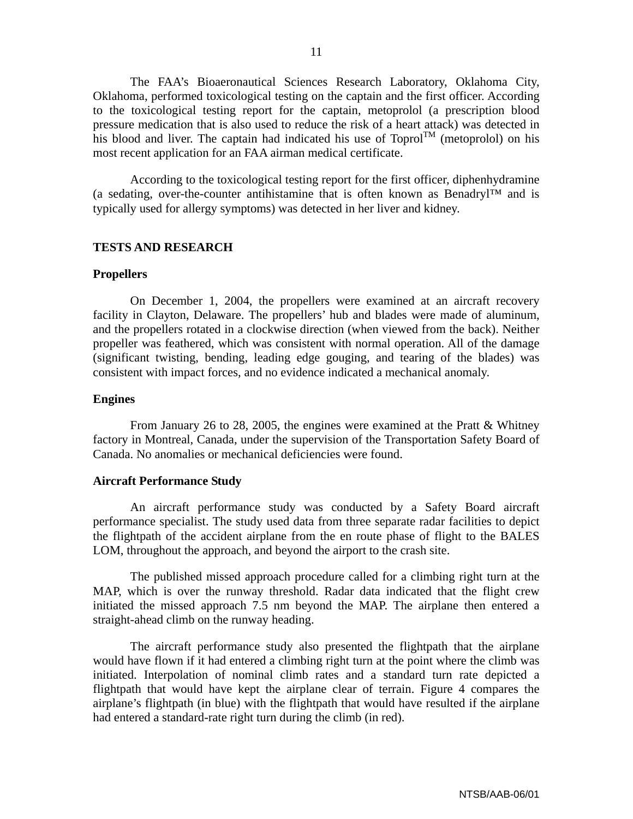The FAA's Bioaeronautical Sciences Research Laboratory, Oklahoma City, Oklahoma, performed toxicological testing on the captain and the first officer. According to the toxicological testing report for the captain, metoprolol (a prescription blood pressure medication that is also used to reduce the risk of a heart attack) was detected in his blood and liver. The captain had indicated his use of  $T_{\text{opt}}$  (metoprolol) on his most recent application for an FAA airman medical certificate.

According to the toxicological testing report for the first officer, diphenhydramine (a sedating, over-the-counter antihistamine that is often known as Benadryl™ and is typically used for allergy symptoms) was detected in her liver and kidney.

# **TESTS AND RESEARCH**

#### **Propellers**

On December 1, 2004, the propellers were examined at an aircraft recovery facility in Clayton, Delaware. The propellers' hub and blades were made of aluminum, and the propellers rotated in a clockwise direction (when viewed from the back). Neither propeller was feathered, which was consistent with normal operation. All of the damage (significant twisting, bending, leading edge gouging, and tearing of the blades) was consistent with impact forces, and no evidence indicated a mechanical anomaly.

# **Engines**

From January 26 to 28, 2005, the engines were examined at the Pratt & Whitney factory in Montreal, Canada, under the supervision of the Transportation Safety Board of Canada. No anomalies or mechanical deficiencies were found.

#### **Aircraft Performance Study**

An aircraft performance study was conducted by a Safety Board aircraft performance specialist. The study used data from three separate radar facilities to depict the flightpath of the accident airplane from the en route phase of flight to the BALES LOM, throughout the approach, and beyond the airport to the crash site.

The published missed approach procedure called for a climbing right turn at the MAP, which is over the runway threshold. Radar data indicated that the flight crew initiated the missed approach 7.5 nm beyond the MAP. The airplane then entered a straight-ahead climb on the runway heading.

The aircraft performance study also presented the flightpath that the airplane would have flown if it had entered a climbing right turn at the point where the climb was initiated. Interpolation of nominal climb rates and a standard turn rate depicted a flightpath that would have kept the airplane clear of terrain. Figure 4 compares the airplane's flightpath (in blue) with the flightpath that would have resulted if the airplane had entered a standard-rate right turn during the climb (in red).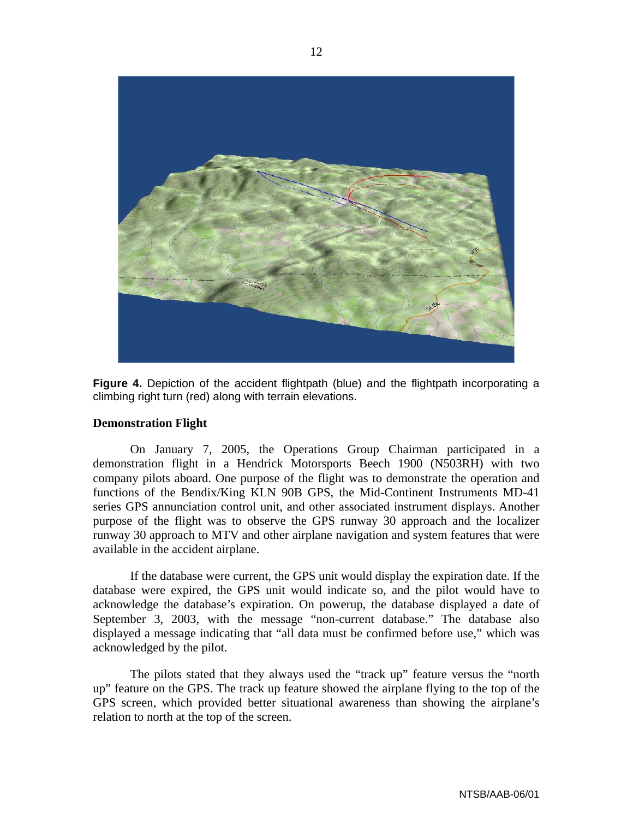

**Figure 4.** Depiction of the accident flightpath (blue) and the flightpath incorporating a climbing right turn (red) along with terrain elevations.

# **Demonstration Flight**

On January 7, 2005, the Operations Group Chairman participated in a demonstration flight in a Hendrick Motorsports Beech 1900 (N503RH) with two company pilots aboard. One purpose of the flight was to demonstrate the operation and functions of the Bendix/King KLN 90B GPS, the Mid-Continent Instruments MD-41 series GPS annunciation control unit, and other associated instrument displays. Another purpose of the flight was to observe the GPS runway 30 approach and the localizer runway 30 approach to MTV and other airplane navigation and system features that were available in the accident airplane.

If the database were current, the GPS unit would display the expiration date. If the database were expired, the GPS unit would indicate so, and the pilot would have to acknowledge the database's expiration. On powerup, the database displayed a date of September 3, 2003, with the message "non-current database." The database also displayed a message indicating that "all data must be confirmed before use," which was acknowledged by the pilot.

The pilots stated that they always used the "track up" feature versus the "north up" feature on the GPS. The track up feature showed the airplane flying to the top of the GPS screen, which provided better situational awareness than showing the airplane's relation to north at the top of the screen.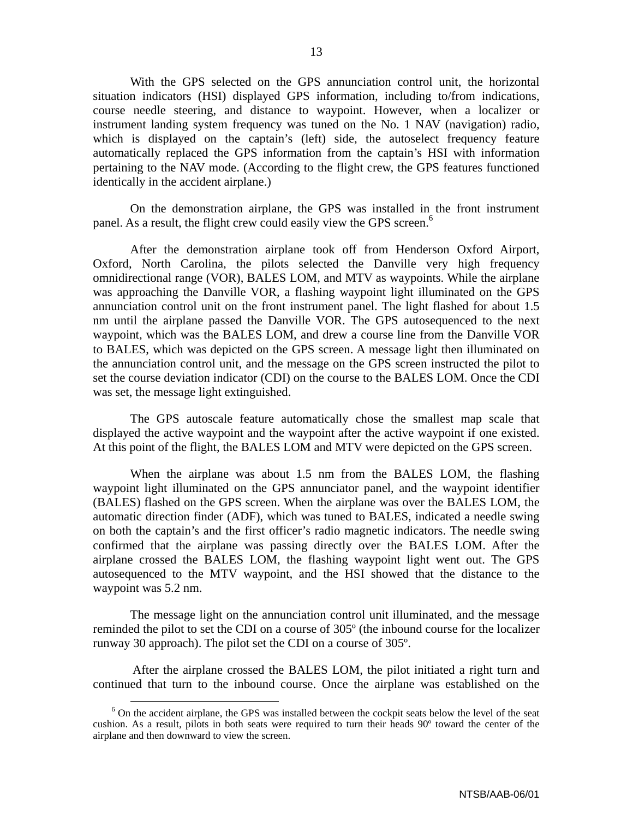With the GPS selected on the GPS annunciation control unit, the horizontal situation indicators (HSI) displayed GPS information, including to/from indications, course needle steering, and distance to waypoint. However, when a localizer or instrument landing system frequency was tuned on the No. 1 NAV (navigation) radio, which is displayed on the captain's (left) side, the autoselect frequency feature automatically replaced the GPS information from the captain's HSI with information pertaining to the NAV mode. (According to the flight crew, the GPS features functioned identically in the accident airplane.)

On the demonstration airplane, the GPS was installed in the front instrument panel. As a result, the flight crew could easily view the GPS screen.<sup>6</sup>

After the demonstration airplane took off from Henderson Oxford Airport, Oxford, North Carolina, the pilots selected the Danville very high frequency omnidirectional range (VOR), BALES LOM, and MTV as waypoints. While the airplane was approaching the Danville VOR, a flashing waypoint light illuminated on the GPS annunciation control unit on the front instrument panel. The light flashed for about 1.5 nm until the airplane passed the Danville VOR. The GPS autosequenced to the next waypoint, which was the BALES LOM, and drew a course line from the Danville VOR to BALES, which was depicted on the GPS screen. A message light then illuminated on the annunciation control unit, and the message on the GPS screen instructed the pilot to set the course deviation indicator (CDI) on the course to the BALES LOM. Once the CDI was set, the message light extinguished.

The GPS autoscale feature automatically chose the smallest map scale that displayed the active waypoint and the waypoint after the active waypoint if one existed. At this point of the flight, the BALES LOM and MTV were depicted on the GPS screen.

When the airplane was about 1.5 nm from the BALES LOM, the flashing waypoint light illuminated on the GPS annunciator panel, and the waypoint identifier (BALES) flashed on the GPS screen. When the airplane was over the BALES LOM, the automatic direction finder (ADF), which was tuned to BALES, indicated a needle swing on both the captain's and the first officer's radio magnetic indicators. The needle swing confirmed that the airplane was passing directly over the BALES LOM. After the airplane crossed the BALES LOM, the flashing waypoint light went out. The GPS autosequenced to the MTV waypoint, and the HSI showed that the distance to the waypoint was 5.2 nm.

The message light on the annunciation control unit illuminated, and the message reminded the pilot to set the CDI on a course of 305º (the inbound course for the localizer runway 30 approach). The pilot set the CDI on a course of 305º.

 After the airplane crossed the BALES LOM, the pilot initiated a right turn and continued that turn to the inbound course. Once the airplane was established on the

<sup>&</sup>lt;sup>6</sup> On the accident airplane, the GPS was installed between the cockpit seats below the level of the seat cushion. As a result, pilots in both seats were required to turn their heads 90º toward the center of the airplane and then downward to view the screen.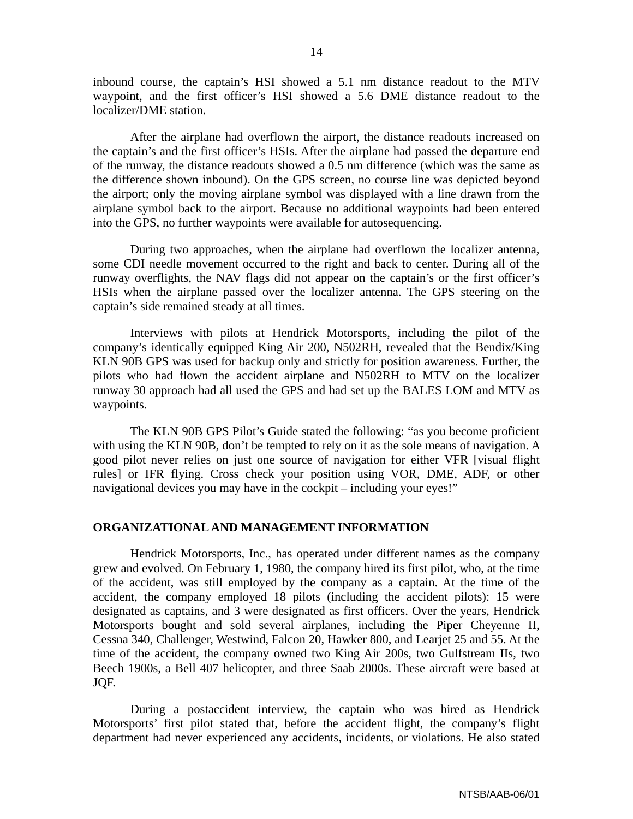inbound course, the captain's HSI showed a 5.1 nm distance readout to the MTV waypoint, and the first officer's HSI showed a 5.6 DME distance readout to the localizer/DME station.

After the airplane had overflown the airport, the distance readouts increased on the captain's and the first officer's HSIs. After the airplane had passed the departure end of the runway, the distance readouts showed a 0.5 nm difference (which was the same as the difference shown inbound). On the GPS screen, no course line was depicted beyond the airport; only the moving airplane symbol was displayed with a line drawn from the airplane symbol back to the airport. Because no additional waypoints had been entered into the GPS, no further waypoints were available for autosequencing.

During two approaches, when the airplane had overflown the localizer antenna, some CDI needle movement occurred to the right and back to center. During all of the runway overflights, the NAV flags did not appear on the captain's or the first officer's HSIs when the airplane passed over the localizer antenna. The GPS steering on the captain's side remained steady at all times.

Interviews with pilots at Hendrick Motorsports, including the pilot of the company's identically equipped King Air 200, N502RH, revealed that the Bendix/King KLN 90B GPS was used for backup only and strictly for position awareness. Further, the pilots who had flown the accident airplane and N502RH to MTV on the localizer runway 30 approach had all used the GPS and had set up the BALES LOM and MTV as waypoints.

The KLN 90B GPS Pilot's Guide stated the following: "as you become proficient with using the KLN 90B, don't be tempted to rely on it as the sole means of navigation. A good pilot never relies on just one source of navigation for either VFR [visual flight rules] or IFR flying. Cross check your position using VOR, DME, ADF, or other navigational devices you may have in the cockpit – including your eyes!"

#### **ORGANIZATIONAL AND MANAGEMENT INFORMATION**

Hendrick Motorsports, Inc., has operated under different names as the company grew and evolved. On February 1, 1980, the company hired its first pilot, who, at the time of the accident, was still employed by the company as a captain. At the time of the accident, the company employed 18 pilots (including the accident pilots): 15 were designated as captains, and 3 were designated as first officers. Over the years, Hendrick Motorsports bought and sold several airplanes, including the Piper Cheyenne II, Cessna 340, Challenger, Westwind, Falcon 20, Hawker 800, and Learjet 25 and 55. At the time of the accident, the company owned two King Air 200s, two Gulfstream IIs, two Beech 1900s, a Bell 407 helicopter, and three Saab 2000s. These aircraft were based at JQF.

During a postaccident interview, the captain who was hired as Hendrick Motorsports' first pilot stated that, before the accident flight, the company's flight department had never experienced any accidents, incidents, or violations. He also stated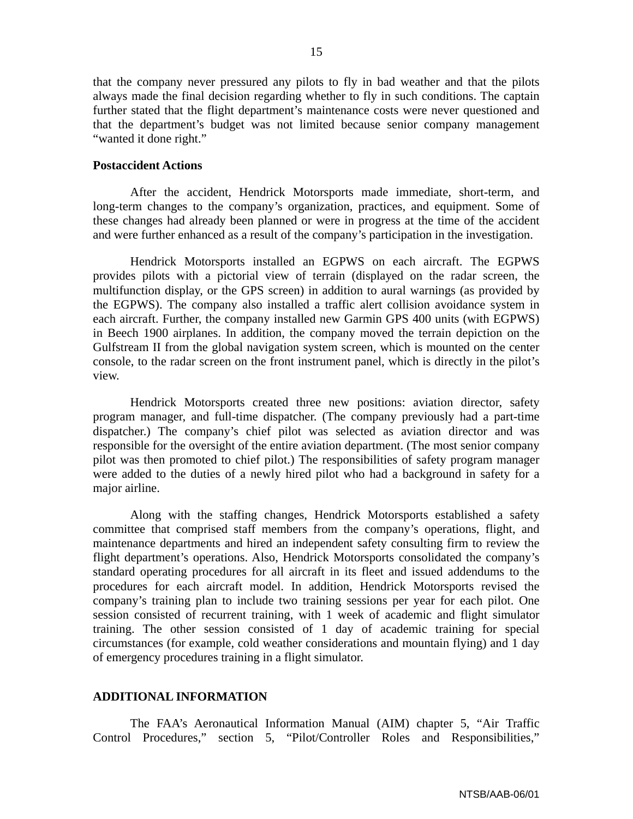that the company never pressured any pilots to fly in bad weather and that the pilots always made the final decision regarding whether to fly in such conditions. The captain further stated that the flight department's maintenance costs were never questioned and that the department's budget was not limited because senior company management "wanted it done right."

# **Postaccident Actions**

After the accident, Hendrick Motorsports made immediate, short-term, and long-term changes to the company's organization, practices, and equipment. Some of these changes had already been planned or were in progress at the time of the accident and were further enhanced as a result of the company's participation in the investigation.

Hendrick Motorsports installed an EGPWS on each aircraft. The EGPWS provides pilots with a pictorial view of terrain (displayed on the radar screen, the multifunction display, or the GPS screen) in addition to aural warnings (as provided by the EGPWS). The company also installed a traffic alert collision avoidance system in each aircraft. Further, the company installed new Garmin GPS 400 units (with EGPWS) in Beech 1900 airplanes. In addition, the company moved the terrain depiction on the Gulfstream II from the global navigation system screen, which is mounted on the center console, to the radar screen on the front instrument panel, which is directly in the pilot's view.

Hendrick Motorsports created three new positions: aviation director, safety program manager, and full-time dispatcher. (The company previously had a part-time dispatcher.) The company's chief pilot was selected as aviation director and was responsible for the oversight of the entire aviation department. (The most senior company pilot was then promoted to chief pilot.) The responsibilities of safety program manager were added to the duties of a newly hired pilot who had a background in safety for a major airline.

Along with the staffing changes, Hendrick Motorsports established a safety committee that comprised staff members from the company's operations, flight, and maintenance departments and hired an independent safety consulting firm to review the flight department's operations. Also, Hendrick Motorsports consolidated the company's standard operating procedures for all aircraft in its fleet and issued addendums to the procedures for each aircraft model. In addition, Hendrick Motorsports revised the company's training plan to include two training sessions per year for each pilot. One session consisted of recurrent training, with 1 week of academic and flight simulator training. The other session consisted of 1 day of academic training for special circumstances (for example, cold weather considerations and mountain flying) and 1 day of emergency procedures training in a flight simulator.

# **ADDITIONAL INFORMATION**

The FAA's Aeronautical Information Manual (AIM) chapter 5, "Air Traffic Control Procedures," section 5, "Pilot/Controller Roles and Responsibilities,"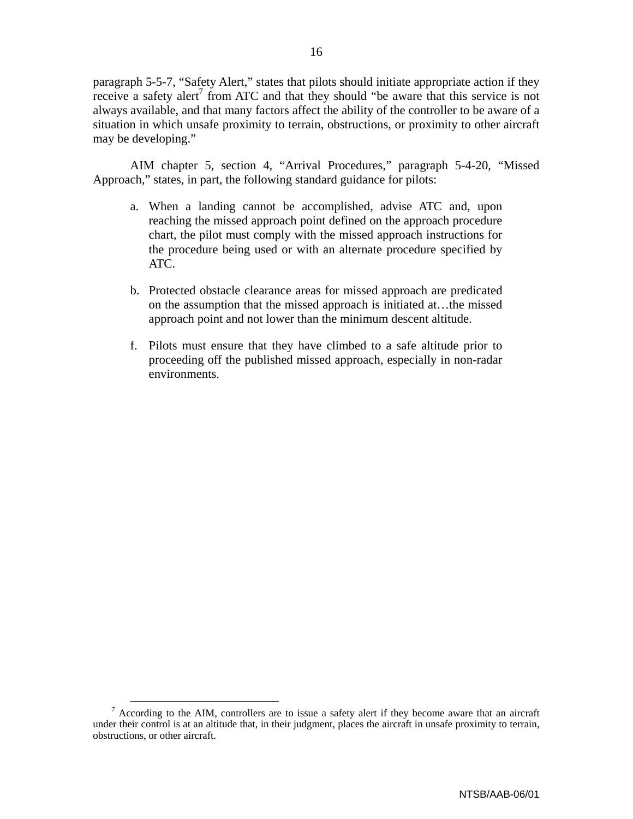paragraph 5-5-7, "Safety Alert," states that pilots should initiate appropriate action if they receive a safety alert<sup>7</sup> from ATC and that they should "be aware that this service is not always available, and that many factors affect the ability of the controller to be aware of a situation in which unsafe proximity to terrain, obstructions, or proximity to other aircraft may be developing."

AIM chapter 5, section 4, "Arrival Procedures," paragraph 5-4-20, "Missed Approach," states, in part, the following standard guidance for pilots:

- a. When a landing cannot be accomplished, advise ATC and, upon reaching the missed approach point defined on the approach procedure chart, the pilot must comply with the missed approach instructions for the procedure being used or with an alternate procedure specified by ATC.
- b. Protected obstacle clearance areas for missed approach are predicated on the assumption that the missed approach is initiated at…the missed approach point and not lower than the minimum descent altitude.
- f. Pilots must ensure that they have climbed to a safe altitude prior to proceeding off the published missed approach, especially in non-radar environments.

<sup>&</sup>lt;sup>7</sup> According to the AIM, controllers are to issue a safety alert if they become aware that an aircraft under their control is at an altitude that, in their judgment, places the aircraft in unsafe proximity to terrain, obstructions, or other aircraft.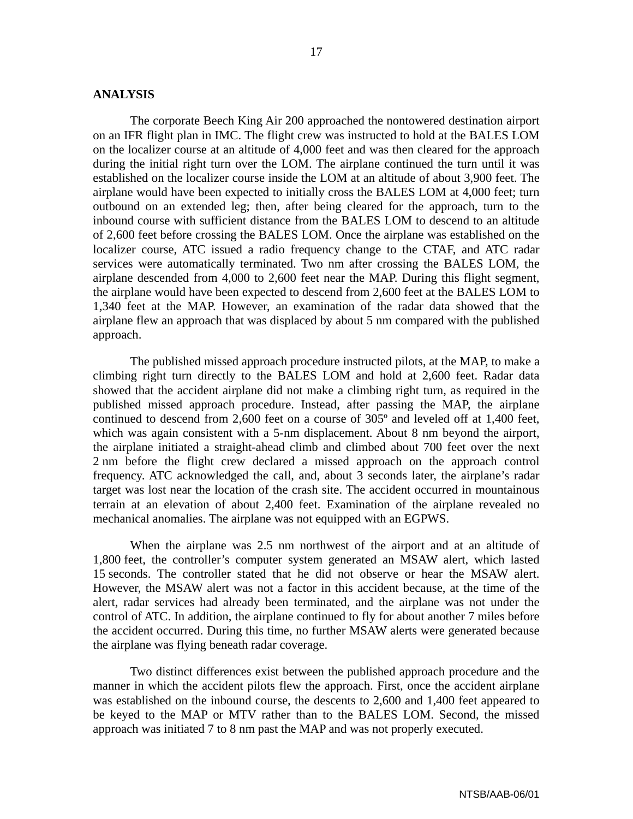#### **ANALYSIS**

The corporate Beech King Air 200 approached the nontowered destination airport on an IFR flight plan in IMC. The flight crew was instructed to hold at the BALES LOM on the localizer course at an altitude of 4,000 feet and was then cleared for the approach during the initial right turn over the LOM. The airplane continued the turn until it was established on the localizer course inside the LOM at an altitude of about 3,900 feet. The airplane would have been expected to initially cross the BALES LOM at 4,000 feet; turn outbound on an extended leg; then, after being cleared for the approach, turn to the inbound course with sufficient distance from the BALES LOM to descend to an altitude of 2,600 feet before crossing the BALES LOM. Once the airplane was established on the localizer course, ATC issued a radio frequency change to the CTAF, and ATC radar services were automatically terminated. Two nm after crossing the BALES LOM, the airplane descended from 4,000 to 2,600 feet near the MAP. During this flight segment, the airplane would have been expected to descend from 2,600 feet at the BALES LOM to 1,340 feet at the MAP. However, an examination of the radar data showed that the airplane flew an approach that was displaced by about 5 nm compared with the published approach.

The published missed approach procedure instructed pilots, at the MAP, to make a climbing right turn directly to the BALES LOM and hold at 2,600 feet. Radar data showed that the accident airplane did not make a climbing right turn, as required in the published missed approach procedure. Instead, after passing the MAP, the airplane continued to descend from 2,600 feet on a course of 305º and leveled off at 1,400 feet, which was again consistent with a 5-nm displacement. About 8 nm beyond the airport, the airplane initiated a straight-ahead climb and climbed about 700 feet over the next 2 nm before the flight crew declared a missed approach on the approach control frequency. ATC acknowledged the call, and, about 3 seconds later, the airplane's radar target was lost near the location of the crash site. The accident occurred in mountainous terrain at an elevation of about 2,400 feet. Examination of the airplane revealed no mechanical anomalies. The airplane was not equipped with an EGPWS.

When the airplane was 2.5 nm northwest of the airport and at an altitude of 1,800 feet, the controller's computer system generated an MSAW alert, which lasted 15 seconds. The controller stated that he did not observe or hear the MSAW alert. However, the MSAW alert was not a factor in this accident because, at the time of the alert, radar services had already been terminated, and the airplane was not under the control of ATC. In addition, the airplane continued to fly for about another 7 miles before the accident occurred. During this time, no further MSAW alerts were generated because the airplane was flying beneath radar coverage.

Two distinct differences exist between the published approach procedure and the manner in which the accident pilots flew the approach. First, once the accident airplane was established on the inbound course, the descents to 2,600 and 1,400 feet appeared to be keyed to the MAP or MTV rather than to the BALES LOM. Second, the missed approach was initiated 7 to 8 nm past the MAP and was not properly executed.